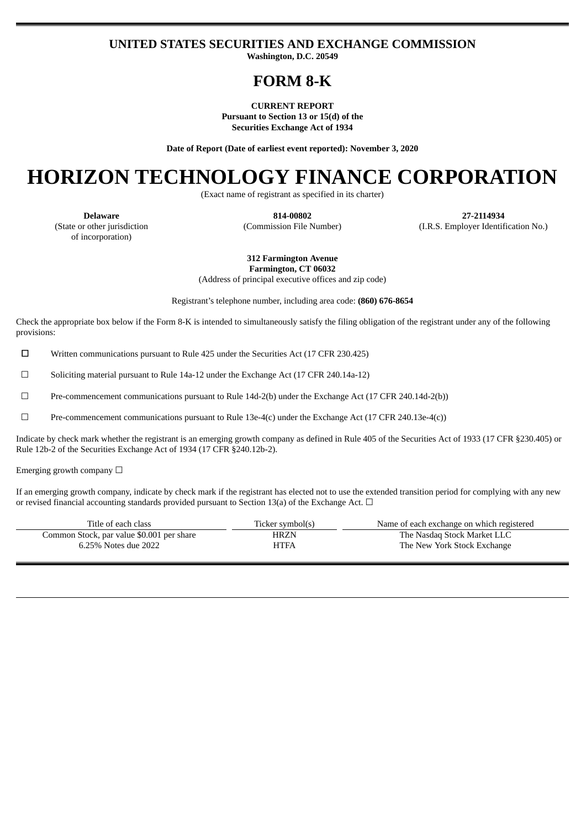# **UNITED STATES SECURITIES AND EXCHANGE COMMISSION**

**Washington, D.C. 20549**

# **FORM 8-K**

**CURRENT REPORT Pursuant to Section 13 or 15(d) of the Securities Exchange Act of 1934**

**Date of Report (Date of earliest event reported): November 3, 2020**

# **HORIZON TECHNOLOGY FINANCE CORPORATION**

(Exact name of registrant as specified in its charter)

(State or other jurisdiction of incorporation)

**Delaware 814-00802 27-2114934** (Commission File Number) (I.R.S. Employer Identification No.)

> **312 Farmington Avenue Farmington, CT 06032**

(Address of principal executive offices and zip code)

Registrant's telephone number, including area code: **(860) 676-8654**

Check the appropriate box below if the Form 8-K is intended to simultaneously satisfy the filing obligation of the registrant under any of the following provisions:

☐ Written communications pursuant to Rule 425 under the Securities Act (17 CFR 230.425)

 $\Box$  Soliciting material pursuant to Rule 14a-12 under the Exchange Act (17 CFR 240.14a-12)

☐ Pre-commencement communications pursuant to Rule 14d-2(b) under the Exchange Act (17 CFR 240.14d-2(b))

☐ Pre-commencement communications pursuant to Rule 13e-4(c) under the Exchange Act (17 CFR 240.13e-4(c))

Indicate by check mark whether the registrant is an emerging growth company as defined in Rule 405 of the Securities Act of 1933 (17 CFR §230.405) or Rule 12b-2 of the Securities Exchange Act of 1934 (17 CFR §240.12b-2).

Emerging growth company  $\Box$ 

If an emerging growth company, indicate by check mark if the registrant has elected not to use the extended transition period for complying with any new or revised financial accounting standards provided pursuant to Section 13(a) of the Exchange Act.  $\Box$ 

| Title of each class                       | Ticker symbol(s) | Name of each exchange on which registered |
|-------------------------------------------|------------------|-------------------------------------------|
| Common Stock, par value \$0.001 per share | HRZN             | The Nasdag Stock Market LLC               |
| 6.25% Notes due 2022                      | HTFA             | The New York Stock Exchange               |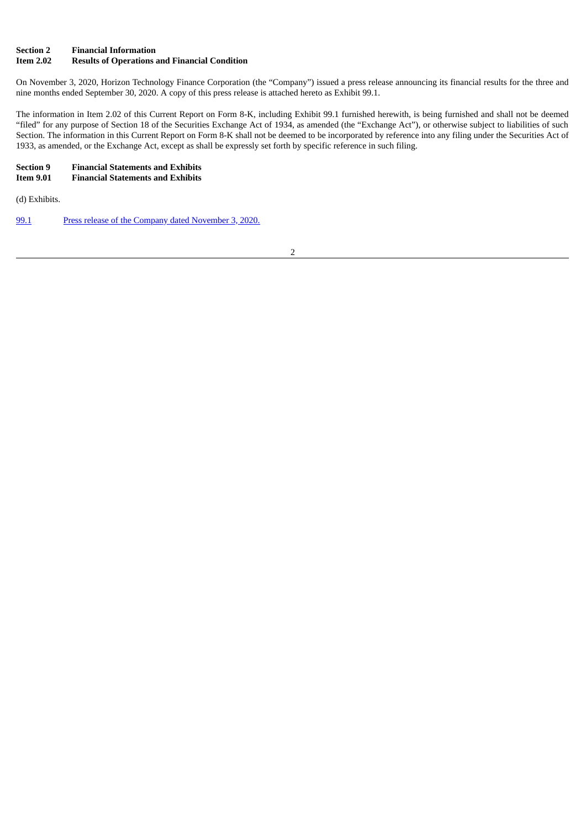# **Section 2 Financial Information**

# **Item 2.02 Results of Operations and Financial Condition**

On November 3, 2020, Horizon Technology Finance Corporation (the "Company") issued a press release announcing its financial results for the three and nine months ended September 30, 2020. A copy of this press release is attached hereto as Exhibit 99.1.

The information in Item 2.02 of this Current Report on Form 8-K, including Exhibit 99.1 furnished herewith, is being furnished and shall not be deemed "filed" for any purpose of Section 18 of the Securities Exchange Act of 1934, as amended (the "Exchange Act"), or otherwise subject to liabilities of such Section. The information in this Current Report on Form 8-K shall not be deemed to be incorporated by reference into any filing under the Securities Act of 1933, as amended, or the Exchange Act, except as shall be expressly set forth by specific reference in such filing.

#### **Section 9 Financial Statements and Exhibits IEE** *I***EE** *Pinancial* **Statements and Exhibits**

(d) Exhibits.

[99.1](#page-3-0) Press release of the Company dated [November](#page-3-0) 3, 2020.

2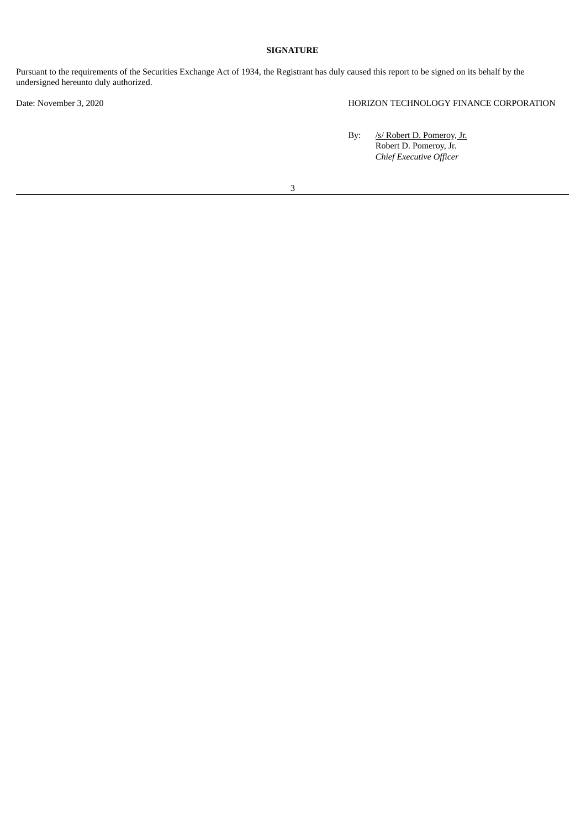# **SIGNATURE**

Pursuant to the requirements of the Securities Exchange Act of 1934, the Registrant has duly caused this report to be signed on its behalf by the undersigned hereunto duly authorized.

Date: November 3, 2020 HORIZON TECHNOLOGY FINANCE CORPORATION

By: /s/ Robert D. Pomeroy, Jr. Robert D. Pomeroy, Jr. *Chief Executive Officer*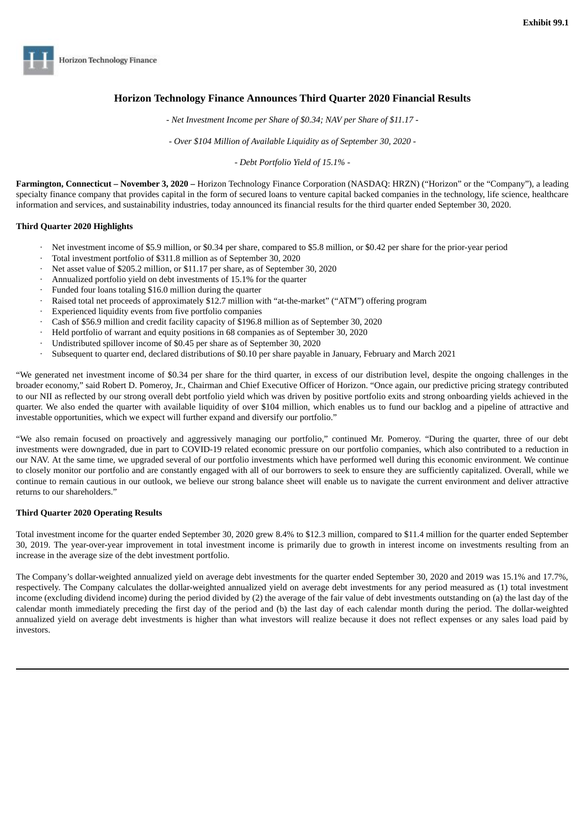<span id="page-3-0"></span>

# **Horizon Technology Finance Announces Third Quarter 2020 Financial Results**

*- Net Investment Income per Share of \$0.34; NAV per Share of \$11.17 -*

*- Over \$104 Million of Available Liquidity as of September 30, 2020 -*

*- Debt Portfolio Yield of 15.1% -*

**Farmington, Connecticut – November 3, 2020 –** Horizon Technology Finance Corporation (NASDAQ: HRZN) ("Horizon" or the "Company"), a leading specialty finance company that provides capital in the form of secured loans to venture capital backed companies in the technology, life science, healthcare information and services, and sustainability industries, today announced its financial results for the third quarter ended September 30, 2020.

# **Third Quarter 2020 Highlights**

- Net investment income of \$5.9 million, or \$0.34 per share, compared to \$5.8 million, or \$0.42 per share for the prior-year period
- · Total investment portfolio of \$311.8 million as of September 30, 2020
- Net asset value of \$205.2 million, or \$11.17 per share, as of September 30, 2020
- Annualized portfolio yield on debt investments of 15.1% for the quarter
- Funded four loans totaling \$16.0 million during the quarter
- Raised total net proceeds of approximately \$12.7 million with "at-the-market" ("ATM") offering program
- Experienced liquidity events from five portfolio companies
- · Cash of \$56.9 million and credit facility capacity of \$196.8 million as of September 30, 2020
- · Held portfolio of warrant and equity positions in 68 companies as of September 30, 2020
- Undistributed spillover income of \$0.45 per share as of September 30, 2020
- · Subsequent to quarter end, declared distributions of \$0.10 per share payable in January, February and March 2021

"We generated net investment income of \$0.34 per share for the third quarter, in excess of our distribution level, despite the ongoing challenges in the broader economy," said Robert D. Pomeroy, Jr., Chairman and Chief Executive Officer of Horizon. "Once again, our predictive pricing strategy contributed to our NII as reflected by our strong overall debt portfolio yield which was driven by positive portfolio exits and strong onboarding yields achieved in the quarter. We also ended the quarter with available liquidity of over \$104 million, which enables us to fund our backlog and a pipeline of attractive and investable opportunities, which we expect will further expand and diversify our portfolio."

"We also remain focused on proactively and aggressively managing our portfolio," continued Mr. Pomeroy. "During the quarter, three of our debt investments were downgraded, due in part to COVID-19 related economic pressure on our portfolio companies, which also contributed to a reduction in our NAV. At the same time, we upgraded several of our portfolio investments which have performed well during this economic environment. We continue to closely monitor our portfolio and are constantly engaged with all of our borrowers to seek to ensure they are sufficiently capitalized. Overall, while we continue to remain cautious in our outlook, we believe our strong balance sheet will enable us to navigate the current environment and deliver attractive returns to our shareholders."

# **Third Quarter 2020 Operating Results**

Total investment income for the quarter ended September 30, 2020 grew 8.4% to \$12.3 million, compared to \$11.4 million for the quarter ended September 30, 2019. The year-over-year improvement in total investment income is primarily due to growth in interest income on investments resulting from an increase in the average size of the debt investment portfolio.

The Company's dollar-weighted annualized yield on average debt investments for the quarter ended September 30, 2020 and 2019 was 15.1% and 17.7%, respectively. The Company calculates the dollar-weighted annualized yield on average debt investments for any period measured as (1) total investment income (excluding dividend income) during the period divided by (2) the average of the fair value of debt investments outstanding on (a) the last day of the calendar month immediately preceding the first day of the period and (b) the last day of each calendar month during the period. The dollar-weighted annualized yield on average debt investments is higher than what investors will realize because it does not reflect expenses or any sales load paid by investors.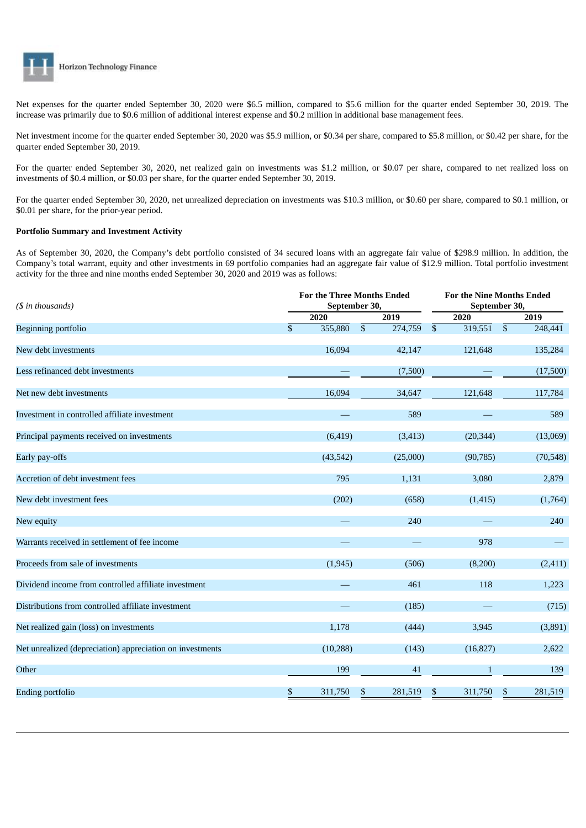

Net expenses for the quarter ended September 30, 2020 were \$6.5 million, compared to \$5.6 million for the quarter ended September 30, 2019. The increase was primarily due to \$0.6 million of additional interest expense and \$0.2 million in additional base management fees.

Net investment income for the quarter ended September 30, 2020 was \$5.9 million, or \$0.34 per share, compared to \$5.8 million, or \$0.42 per share, for the quarter ended September 30, 2019.

For the quarter ended September 30, 2020, net realized gain on investments was \$1.2 million, or \$0.07 per share, compared to net realized loss on investments of \$0.4 million, or \$0.03 per share, for the quarter ended September 30, 2019.

For the quarter ended September 30, 2020, net unrealized depreciation on investments was \$10.3 million, or \$0.60 per share, compared to \$0.1 million, or \$0.01 per share, for the prior-year period.

## **Portfolio Summary and Investment Activity**

As of September 30, 2020, the Company's debt portfolio consisted of 34 secured loans with an aggregate fair value of \$298.9 million. In addition, the Company's total warrant, equity and other investments in 69 portfolio companies had an aggregate fair value of \$12.9 million. Total portfolio investment activity for the three and nine months ended September 30, 2020 and 2019 was as follows:

| (\$ in thousands)                                         | <b>For the Three Months Ended</b><br>September 30, |            |          | <b>For the Nine Months Ended</b><br>September 30, |              |      |           |
|-----------------------------------------------------------|----------------------------------------------------|------------|----------|---------------------------------------------------|--------------|------|-----------|
|                                                           | 2020                                               | 2019       |          |                                                   | 2020         | 2019 |           |
| Beginning portfolio                                       | \$<br>355,880                                      | $\sqrt{3}$ | 274,759  | \$                                                | 319,551      | \$   | 248,441   |
| New debt investments                                      | 16,094                                             |            | 42,147   |                                                   | 121,648      |      | 135,284   |
| Less refinanced debt investments                          |                                                    |            | (7,500)  |                                                   |              |      | (17,500)  |
| Net new debt investments                                  | 16,094                                             |            | 34,647   |                                                   | 121,648      |      | 117,784   |
| Investment in controlled affiliate investment             |                                                    |            | 589      |                                                   |              |      | 589       |
| Principal payments received on investments                | (6, 419)                                           |            | (3, 413) |                                                   | (20, 344)    |      | (13,069)  |
| Early pay-offs                                            | (43, 542)                                          |            | (25,000) |                                                   | (90, 785)    |      | (70, 548) |
| Accretion of debt investment fees                         | 795                                                |            | 1,131    |                                                   | 3,080        |      | 2,879     |
| New debt investment fees                                  | (202)                                              |            | (658)    |                                                   | (1, 415)     |      | (1,764)   |
| New equity                                                |                                                    |            | 240      |                                                   |              |      | 240       |
| Warrants received in settlement of fee income             |                                                    |            |          |                                                   | 978          |      |           |
| Proceeds from sale of investments                         | (1, 945)                                           |            | (506)    |                                                   | (8,200)      |      | (2, 411)  |
| Dividend income from controlled affiliate investment      | $\overline{\phantom{0}}$                           |            | 461      |                                                   | 118          |      | 1,223     |
| Distributions from controlled affiliate investment        |                                                    |            | (185)    |                                                   |              |      | (715)     |
| Net realized gain (loss) on investments                   | 1,178                                              |            | (444)    |                                                   | 3,945        |      | (3,891)   |
| Net unrealized (depreciation) appreciation on investments | (10, 288)                                          |            | (143)    |                                                   | (16, 827)    |      | 2,622     |
| Other                                                     | 199                                                |            | 41       |                                                   | $\mathbf{1}$ |      | 139       |
| Ending portfolio                                          | \$<br>311,750                                      | \$         | 281,519  | \$                                                | 311,750      | \$   | 281,519   |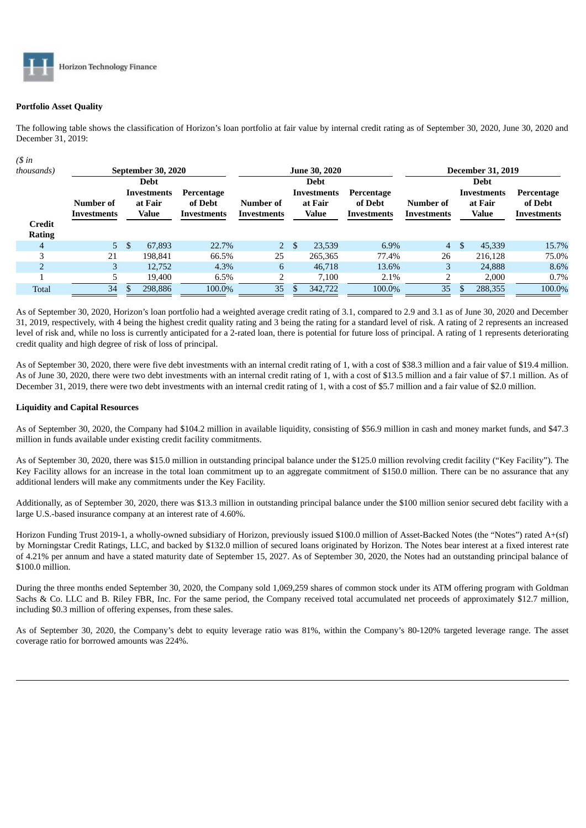

# **Portfolio Asset Quality**

The following table shows the classification of Horizon's loan portfolio at fair value by internal credit rating as of September 30, 2020, June 30, 2020 and December 31, 2019:

| $($ \$ in               |                          |     |                                 |                                      |                          |                      |                                        |                                      |                          |  |                                 |                                      |  |
|-------------------------|--------------------------|-----|---------------------------------|--------------------------------------|--------------------------|----------------------|----------------------------------------|--------------------------------------|--------------------------|--|---------------------------------|--------------------------------------|--|
| thousands)              |                          |     | September 30, 2020              |                                      |                          | <b>June 30, 2020</b> |                                        | <b>December 31, 2019</b>             |                          |  |                                 |                                      |  |
|                         |                          |     | <b>Debt</b>                     |                                      |                          |                      | <b>Debt</b>                            |                                      |                          |  | <b>Debt</b>                     |                                      |  |
|                         | Number of<br>Investments |     | Investments<br>at Fair<br>Value | Percentage<br>of Debt<br>Investments | Number of<br>Investments |                      | Investments<br>at Fair<br><b>Value</b> | Percentage<br>of Debt<br>Investments | Number of<br>Investments |  | Investments<br>at Fair<br>Value | Percentage<br>of Debt<br>Investments |  |
| Credit<br><b>Rating</b> |                          |     |                                 |                                      |                          |                      |                                        |                                      |                          |  |                                 |                                      |  |
| 4                       | 5 <sup>1</sup>           | -\$ | 67,893                          | 22.7%                                | $2^{\circ}$              | -\$                  | 23.539                                 | 6.9%                                 | $\overline{4}$           |  | 45,339                          | 15.7%                                |  |
| 3                       | 21                       |     | 198.841                         | 66.5%                                | 25                       |                      | 265,365                                | 77.4%                                | 26                       |  | 216.128                         | 75.0%                                |  |
| $\overline{2}$          | 3                        |     | 12,752                          | 4.3%                                 | 6                        |                      | 46,718                                 | 13.6%                                | 3                        |  | 24,888                          | 8.6%                                 |  |
|                         |                          |     | 19,400                          | 6.5%                                 | ר                        |                      | 7,100                                  | 2.1%                                 | 2                        |  | 2,000                           | $0.7\%$                              |  |
| <b>Total</b>            | 34                       |     | 298,886                         | 100.0%                               | 35                       |                      | 342,722                                | 100.0%                               | 35                       |  | 288,355                         | 100.0%                               |  |

As of September 30, 2020, Horizon's loan portfolio had a weighted average credit rating of 3.1, compared to 2.9 and 3.1 as of June 30, 2020 and December 31, 2019, respectively, with 4 being the highest credit quality rating and 3 being the rating for a standard level of risk. A rating of 2 represents an increased level of risk and, while no loss is currently anticipated for a 2-rated loan, there is potential for future loss of principal. A rating of 1 represents deteriorating credit quality and high degree of risk of loss of principal.

As of September 30, 2020, there were five debt investments with an internal credit rating of 1, with a cost of \$38.3 million and a fair value of \$19.4 million. As of June 30, 2020, there were two debt investments with an internal credit rating of 1, with a cost of \$13.5 million and a fair value of \$7.1 million. As of December 31, 2019, there were two debt investments with an internal credit rating of 1, with a cost of \$5.7 million and a fair value of \$2.0 million.

# **Liquidity and Capital Resources**

As of September 30, 2020, the Company had \$104.2 million in available liquidity, consisting of \$56.9 million in cash and money market funds, and \$47.3 million in funds available under existing credit facility commitments.

As of September 30, 2020, there was \$15.0 million in outstanding principal balance under the \$125.0 million revolving credit facility ("Key Facility"). The Key Facility allows for an increase in the total loan commitment up to an aggregate commitment of \$150.0 million. There can be no assurance that any additional lenders will make any commitments under the Key Facility.

Additionally, as of September 30, 2020, there was \$13.3 million in outstanding principal balance under the \$100 million senior secured debt facility with a large U.S.-based insurance company at an interest rate of 4.60%.

Horizon Funding Trust 2019-1, a wholly-owned subsidiary of Horizon, previously issued \$100.0 million of Asset-Backed Notes (the "Notes") rated A+(sf) by Morningstar Credit Ratings, LLC, and backed by \$132.0 million of secured loans originated by Horizon. The Notes bear interest at a fixed interest rate of 4.21% per annum and have a stated maturity date of September 15, 2027. As of September 30, 2020, the Notes had an outstanding principal balance of \$100.0 million.

During the three months ended September 30, 2020, the Company sold 1,069,259 shares of common stock under its ATM offering program with Goldman Sachs & Co. LLC and B. Riley FBR, Inc. For the same period, the Company received total accumulated net proceeds of approximately \$12.7 million, including \$0.3 million of offering expenses, from these sales.

As of September 30, 2020, the Company's debt to equity leverage ratio was 81%, within the Company's 80-120% targeted leverage range. The asset coverage ratio for borrowed amounts was 224%.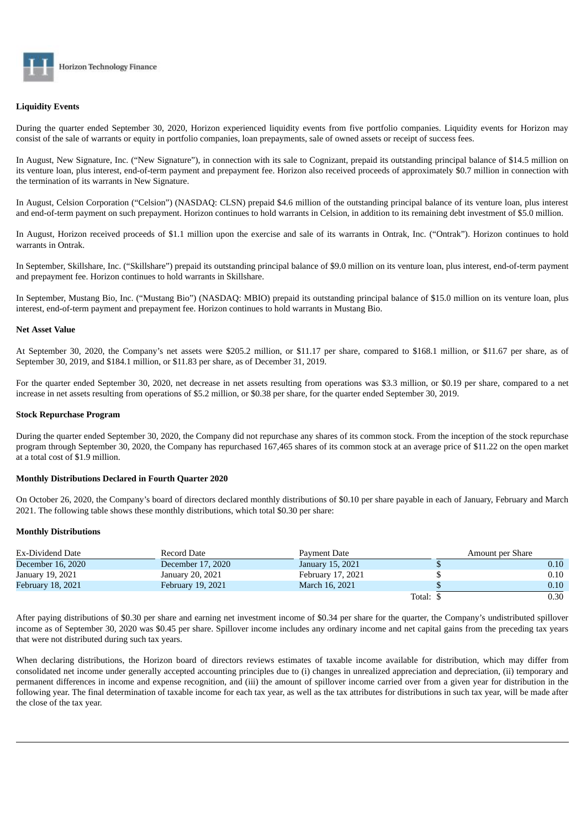

# **Liquidity Events**

During the quarter ended September 30, 2020, Horizon experienced liquidity events from five portfolio companies. Liquidity events for Horizon may consist of the sale of warrants or equity in portfolio companies, loan prepayments, sale of owned assets or receipt of success fees.

In August, New Signature, Inc. ("New Signature"), in connection with its sale to Cognizant, prepaid its outstanding principal balance of \$14.5 million on its venture loan, plus interest, end-of-term payment and prepayment fee. Horizon also received proceeds of approximately \$0.7 million in connection with the termination of its warrants in New Signature.

In August, Celsion Corporation ("Celsion") (NASDAQ: CLSN) prepaid \$4.6 million of the outstanding principal balance of its venture loan, plus interest and end-of-term payment on such prepayment. Horizon continues to hold warrants in Celsion, in addition to its remaining debt investment of \$5.0 million.

In August, Horizon received proceeds of \$1.1 million upon the exercise and sale of its warrants in Ontrak, Inc. ("Ontrak"). Horizon continues to hold warrants in Ontrak.

In September, Skillshare, Inc. ("Skillshare") prepaid its outstanding principal balance of \$9.0 million on its venture loan, plus interest, end-of-term payment and prepayment fee. Horizon continues to hold warrants in Skillshare.

In September, Mustang Bio, Inc. ("Mustang Bio") (NASDAQ: MBIO) prepaid its outstanding principal balance of \$15.0 million on its venture loan, plus interest, end-of-term payment and prepayment fee. Horizon continues to hold warrants in Mustang Bio.

## **Net Asset Value**

At September 30, 2020, the Company's net assets were \$205.2 million, or \$11.17 per share, compared to \$168.1 million, or \$11.67 per share, as of September 30, 2019, and \$184.1 million, or \$11.83 per share, as of December 31, 2019.

For the quarter ended September 30, 2020, net decrease in net assets resulting from operations was \$3.3 million, or \$0.19 per share, compared to a net increase in net assets resulting from operations of \$5.2 million, or \$0.38 per share, for the quarter ended September 30, 2019.

#### **Stock Repurchase Program**

During the quarter ended September 30, 2020, the Company did not repurchase any shares of its common stock. From the inception of the stock repurchase program through September 30, 2020, the Company has repurchased 167,465 shares of its common stock at an average price of \$11.22 on the open market at a total cost of \$1.9 million.

#### **Monthly Distributions Declared in Fourth Quarter 2020**

On October 26, 2020, the Company's board of directors declared monthly distributions of \$0.10 per share payable in each of January, February and March 2021. The following table shows these monthly distributions, which total \$0.30 per share:

#### **Monthly Distributions**

| Ex-Dividend Date  | Record Date<br>Payment Date |                   |          | Amount per Share |
|-------------------|-----------------------------|-------------------|----------|------------------|
| December 16, 2020 | December 17, 2020           | January 15, 2021  |          | 0.10             |
| January 19, 2021  | January 20, 2021            | February 17, 2021 |          | 0.10             |
| February 18, 2021 | February 19, 2021           | March 16, 2021    |          | 0.10             |
|                   |                             |                   | Total: S | 0.30             |

After paying distributions of \$0.30 per share and earning net investment income of \$0.34 per share for the quarter, the Company's undistributed spillover income as of September 30, 2020 was \$0.45 per share. Spillover income includes any ordinary income and net capital gains from the preceding tax years that were not distributed during such tax years.

When declaring distributions, the Horizon board of directors reviews estimates of taxable income available for distribution, which may differ from consolidated net income under generally accepted accounting principles due to (i) changes in unrealized appreciation and depreciation, (ii) temporary and permanent differences in income and expense recognition, and (iii) the amount of spillover income carried over from a given year for distribution in the following year. The final determination of taxable income for each tax year, as well as the tax attributes for distributions in such tax year, will be made after the close of the tax year.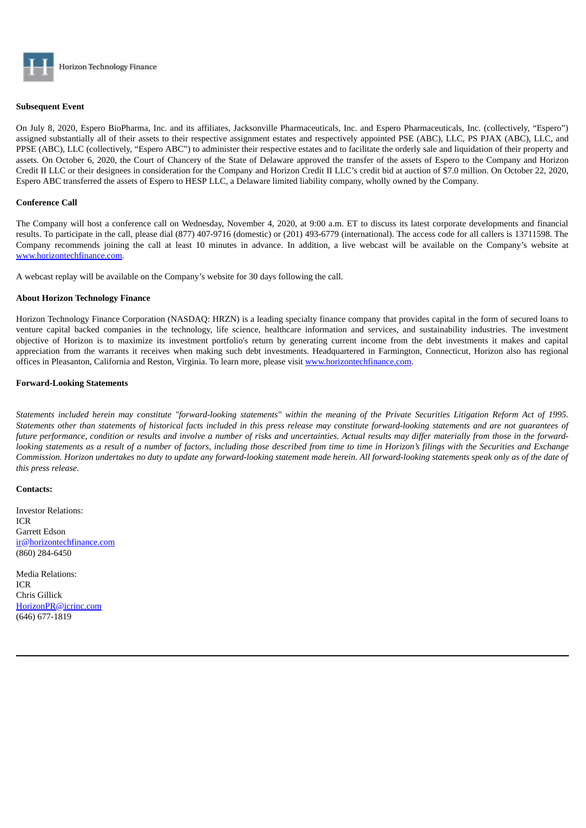

#### **Subsequent Event**

On July 8, 2020, Espero BioPharma, Inc. and its affiliates, Jacksonville Pharmaceuticals, Inc. and Espero Pharmaceuticals, Inc. (collectively, "Espero") assigned substantially all of their assets to their respective assignment estates and respectively appointed PSE (ABC), LLC, PS PJAX (ABC), LLC, and PPSE (ABC), LLC (collectively, "Espero ABC") to administer their respective estates and to facilitate the orderly sale and liquidation of their property and assets. On October 6, 2020, the Court of Chancery of the State of Delaware approved the transfer of the assets of Espero to the Company and Horizon Credit II LLC or their designees in consideration for the Company and Horizon Credit II LLC's credit bid at auction of \$7.0 million. On October 22, 2020, Espero ABC transferred the assets of Espero to HESP LLC, a Delaware limited liability company, wholly owned by the Company.

#### **Conference Call**

The Company will host a conference call on Wednesday, November 4, 2020, at 9:00 a.m. ET to discuss its latest corporate developments and financial results. To participate in the call, please dial (877) 407-9716 (domestic) or (201) 493-6779 (international). The access code for all callers is 13711598. The Company recommends joining the call at least 10 minutes in advance. In addition, a live webcast will be available on the Company's website at www.horizontechfinance.com.

A webcast replay will be available on the Company's website for 30 days following the call.

## **About Horizon Technology Finance**

Horizon Technology Finance Corporation (NASDAQ: HRZN) is a leading specialty finance company that provides capital in the form of secured loans to venture capital backed companies in the technology, life science, healthcare information and services, and sustainability industries. The investment objective of Horizon is to maximize its investment portfolio's return by generating current income from the debt investments it makes and capital appreciation from the warrants it receives when making such debt investments. Headquartered in Farmington, Connecticut, Horizon also has regional offices in Pleasanton, California and Reston, Virginia. To learn more, please visit www.horizontechfinance.com.

#### **Forward-Looking Statements**

Statements included herein may constitute "forward-looking statements" within the meaning of the Private Securities Litigation Reform Act of 1995. Statements other than statements of historical facts included in this press release may constitute forward-looking statements and are not quarantees of future performance, condition or results and involve a number of risks and uncertainties. Actual results may differ materially from those in the forwardlooking statements as a result of a number of factors, including those described from time to time in Horizon's filings with the Securities and Exchange Commission. Horizon undertakes no duty to update any forward-looking statement made herein. All forward-looking statements speak only as of the date of *this press release.*

#### **Contacts:**

Investor Relations: ICR Garrett Edson ir@horizontechfinance.com (860) 284-6450

Media Relations: ICR Chris Gillick HorizonPR@icrinc.com (646) 677-1819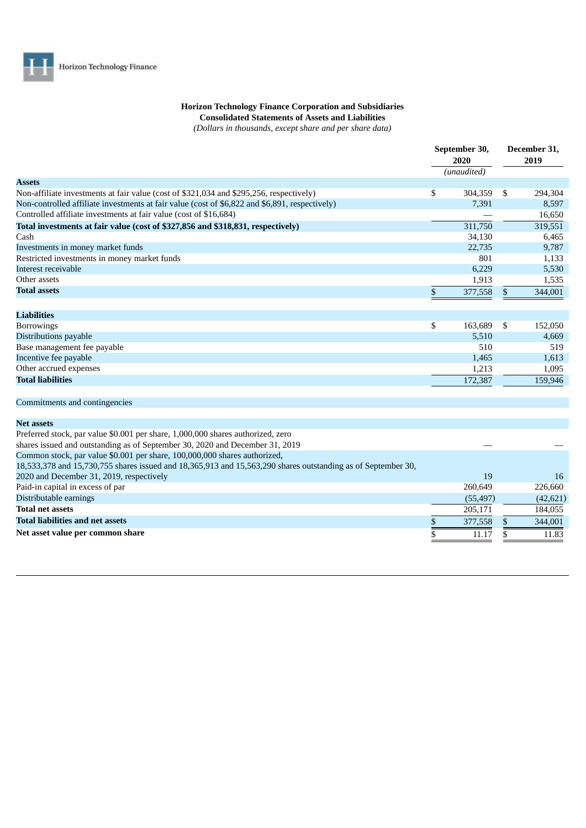# **Horizon Technology Finance Corporation and Subsidiaries Consolidated Statements of Assets and Liabilities**

*(Dollars in thousands, except share and per share data)*

|                                                                                                              |      | September 30,<br>2020 | December 31.<br>2019 |
|--------------------------------------------------------------------------------------------------------------|------|-----------------------|----------------------|
|                                                                                                              |      | (unaudited)           |                      |
| <b>Assets</b>                                                                                                |      |                       |                      |
| Non-affiliate investments at fair value (cost of \$321,034 and \$295,256, respectively)                      | \$   | 304,359               | \$<br>294,304        |
| Non-controlled affiliate investments at fair value (cost of \$6,822 and \$6,891, respectively)               |      | 7,391                 | 8,597                |
| Controlled affiliate investments at fair value (cost of \$16,684)                                            |      |                       | 16,650               |
| Total investments at fair value (cost of \$327,856 and \$318,831, respectively)                              |      | 311,750               | 319,551              |
| Cash                                                                                                         |      | 34,130                | 6,465                |
| Investments in money market funds                                                                            |      | 22,735                | 9,787                |
| Restricted investments in money market funds                                                                 |      | 801                   | 1,133                |
| Interest receivable                                                                                          |      | 6,229                 | 5,530                |
| Other assets                                                                                                 |      | 1,913                 | 1,535                |
| <b>Total assets</b>                                                                                          | $\,$ | 377,558               | \$<br>344,001        |
| <b>Liabilities</b>                                                                                           |      |                       |                      |
| <b>Borrowings</b>                                                                                            | \$   | 163,689               | \$<br>152,050        |
| Distributions payable                                                                                        |      | 5,510                 | 4,669                |
| Base management fee payable                                                                                  |      | 510                   | 519                  |
| Incentive fee payable                                                                                        |      | 1,465                 | 1,613                |
| Other accrued expenses                                                                                       |      | 1,213                 | 1,095                |
| <b>Total liabilities</b>                                                                                     |      | 172,387               | 159,946              |
|                                                                                                              |      |                       |                      |
| Commitments and contingencies                                                                                |      |                       |                      |
| <b>Net assets</b>                                                                                            |      |                       |                      |
| Preferred stock, par value \$0.001 per share, 1,000,000 shares authorized, zero                              |      |                       |                      |
| shares issued and outstanding as of September 30, 2020 and December 31, 2019                                 |      |                       |                      |
| Common stock, par value \$0.001 per share, 100,000,000 shares authorized,                                    |      |                       |                      |
| 18,533,378 and 15,730,755 shares issued and 18,365,913 and 15,563,290 shares outstanding as of September 30, |      |                       |                      |
| 2020 and December 31, 2019, respectively                                                                     |      | 19                    | 16                   |
| Paid-in capital in excess of par                                                                             |      | 260,649               | 226,660              |
| Distributable earnings                                                                                       |      | (55, 497)             | (42, 621)            |
| <b>Total net assets</b>                                                                                      |      | 205,171               | 184,055              |
| <b>Total liabilities and net assets</b>                                                                      | \$   | 377,558               | \$<br>344,001        |
| Net asset value per common share                                                                             |      | 11.17                 | \$<br>11.83          |